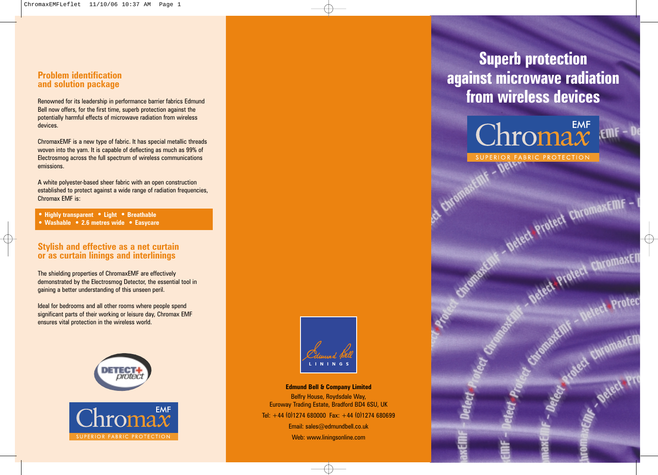## **Problem identificationand solution package**

Renowned for its leadership in performance barrier fabrics Edmund Bell now offers, for the first time, superb protection against the potentially harmful effects of microwave radiation from wireless devices.

ChromaxEMF is a new type of fabric. It has special metallic threads woven into the yarn. It is capable of deflecting as much as 99% of Electrosmog across the full spectrum of wireless communications emissions.

A white polyester-based sheer fabric with an open construction established to protect against a wide range of radiation frequencies, Chromax EMF is:

**• Highly transparent • Light • Breathable**

**• Washable • 2.6 metres wide • Easycare**

## **Stylish and effective as a net curtain or as curtain linings and interlinings**

The shielding properties of ChromaxEMF are effectively demonstrated by the Electrosmog Detector, the essential tool in gaining a better understanding of this unseen peril.

Ideal for bedrooms and all other rooms where people spend significant parts of their working or leisure day, Chromax EMF ensures vital protection in the wireless world.





**Edmund Bell & Company Limited** Belfry House, Roydsdale Way, Euroway Trading Estate, Bradford BD4 6SU, UK Tel:  $+44$  (0)1274 680000 Fax:  $+44$  (0)1274 680699 Email: sales@edmundbell.co.uk

Web: www.liningsonline.com

**Superb protection against microwave radiation from wireless devices**